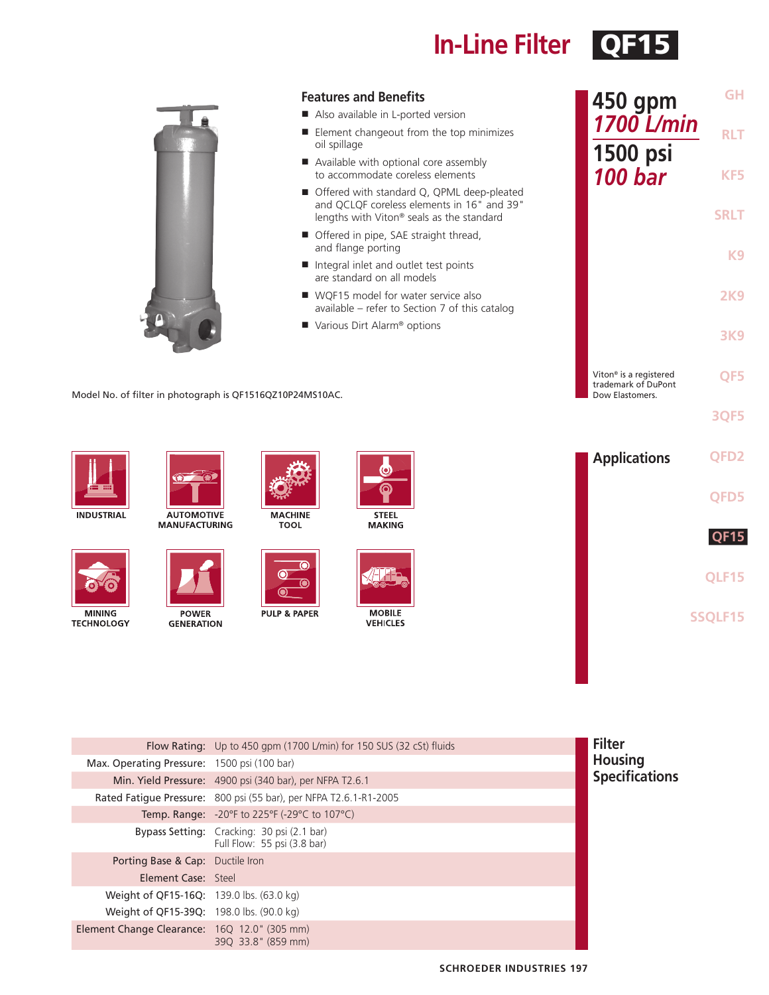## **In-Line Filter** QF15

|                             |                                                           |                         | <b>Features and Benefits</b><br>Also available in L-ported version        |                                                                                                                                         | 450 gpm                                                                      | <b>GH</b>        |
|-----------------------------|-----------------------------------------------------------|-------------------------|---------------------------------------------------------------------------|-----------------------------------------------------------------------------------------------------------------------------------------|------------------------------------------------------------------------------|------------------|
|                             |                                                           | oil spillage            |                                                                           | ■ Element changeout from the top minimizes                                                                                              | 1700 L/min                                                                   | <b>RLT</b>       |
|                             |                                                           |                         | Available with optional core assembly<br>to accommodate coreless elements |                                                                                                                                         | 1500 psi<br><b>100 bar</b>                                                   | KF5              |
|                             |                                                           |                         |                                                                           | ■ Offered with standard Q, QPML deep-pleated<br>and QCLQF coreless elements in 16" and 39"<br>lengths with Viton® seals as the standard |                                                                              | <b>SRLT</b>      |
|                             |                                                           |                         | Offered in pipe, SAE straight thread,<br>and flange porting               |                                                                                                                                         |                                                                              |                  |
|                             |                                                           |                         | Integral inlet and outlet test points<br>are standard on all models       |                                                                                                                                         |                                                                              | K <sub>9</sub>   |
|                             |                                                           |                         | ■ WQF15 model for water service also                                      | available - refer to Section 7 of this catalog                                                                                          |                                                                              | <b>2K9</b>       |
|                             |                                                           |                         | Various Dirt Alarm <sup>®</sup> options                                   |                                                                                                                                         |                                                                              | <b>3K9</b>       |
|                             | Model No. of filter in photograph is QF1516QZ10P24MS10AC. |                         |                                                                           |                                                                                                                                         | Viton <sup>®</sup> is a registered<br>trademark of DuPont<br>Dow Elastomers. | QF5              |
|                             |                                                           |                         |                                                                           |                                                                                                                                         |                                                                              | <b>3QF5</b>      |
|                             | Q                                                         |                         |                                                                           |                                                                                                                                         | <b>Applications</b>                                                          | QFD <sub>2</sub> |
| <b>INDUSTRIAL</b>           | <b>AUTOMOTIVE</b>                                         | <b>MACHINE</b>          | <b>STEEL</b>                                                              |                                                                                                                                         |                                                                              | QFD5             |
|                             | <b>MANUFACTURING</b>                                      | <b>TOOL</b>             | <b>MAKING</b>                                                             |                                                                                                                                         |                                                                              | <b>QF15</b>      |
|                             |                                                           |                         |                                                                           |                                                                                                                                         |                                                                              |                  |
|                             |                                                           |                         |                                                                           |                                                                                                                                         |                                                                              | QLF15            |
| MINING<br><b>TECHNOLOGY</b> | <b>POWER</b><br><b>GENERATION</b>                         | <b>PULP &amp; PAPER</b> | <b>MOBILE</b><br><b>VEHICLES</b>                                          |                                                                                                                                         |                                                                              | SSQLF15          |
|                             |                                                           |                         |                                                                           |                                                                                                                                         |                                                                              |                  |
|                             |                                                           |                         |                                                                           |                                                                                                                                         |                                                                              |                  |

|                                              | Flow Rating: Up to 450 gpm (1700 L/min) for 150 SUS (32 cSt) fluids       | <b>Filter</b>         |
|----------------------------------------------|---------------------------------------------------------------------------|-----------------------|
| Max. Operating Pressure: 1500 psi (100 bar)  |                                                                           | <b>Housing</b>        |
|                                              | Min. Yield Pressure: 4900 psi (340 bar), per NFPA T2.6.1                  | <b>Specifications</b> |
|                                              | Rated Fatique Pressure: 800 psi (55 bar), per NFPA T2.6.1-R1-2005         |                       |
|                                              | <b>Temp. Range:</b> -20°F to 225°F (-29°C to 107°C)                       |                       |
|                                              | Bypass Setting: Cracking: 30 psi (2.1 bar)<br>Full Flow: 55 psi (3.8 bar) |                       |
| Porting Base & Cap: Ductile Iron             |                                                                           |                       |
| Element Case: Steel                          |                                                                           |                       |
| Weight of QF15-16Q: 139.0 lbs. (63.0 kg)     |                                                                           |                       |
| Weight of QF15-39Q: 198.0 lbs. (90.0 kg)     |                                                                           |                       |
| Element Change Clearance: 16Q 12.0" (305 mm) | 390 33.8" (859 mm)                                                        |                       |
|                                              |                                                                           |                       |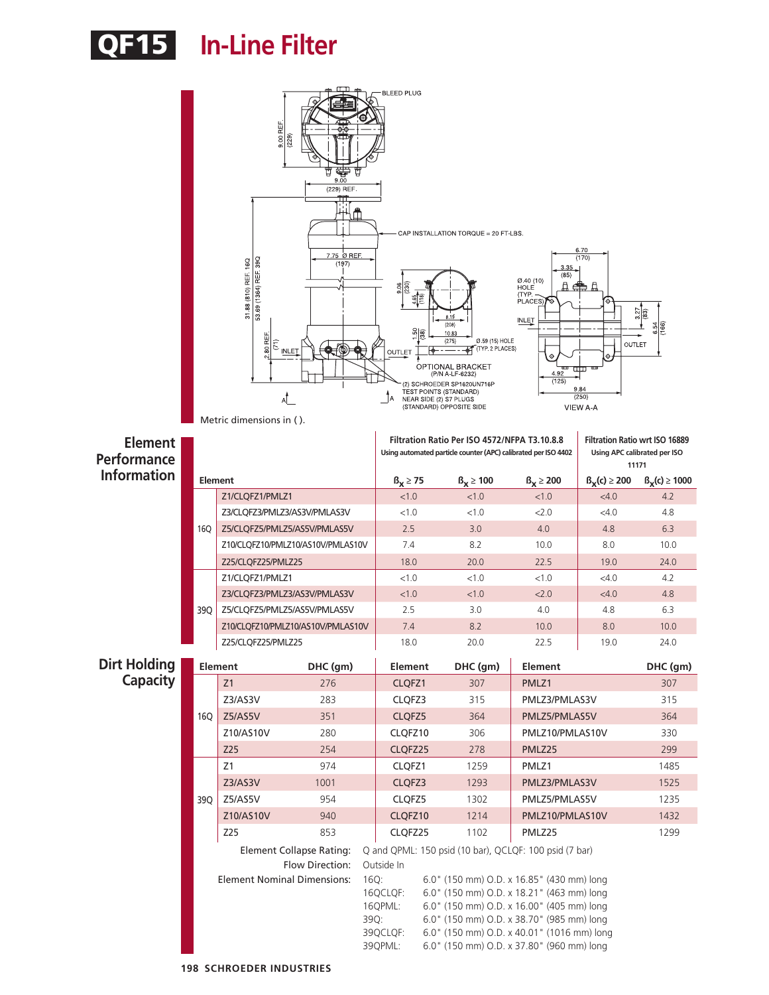# QF15 **In-Line Filter**

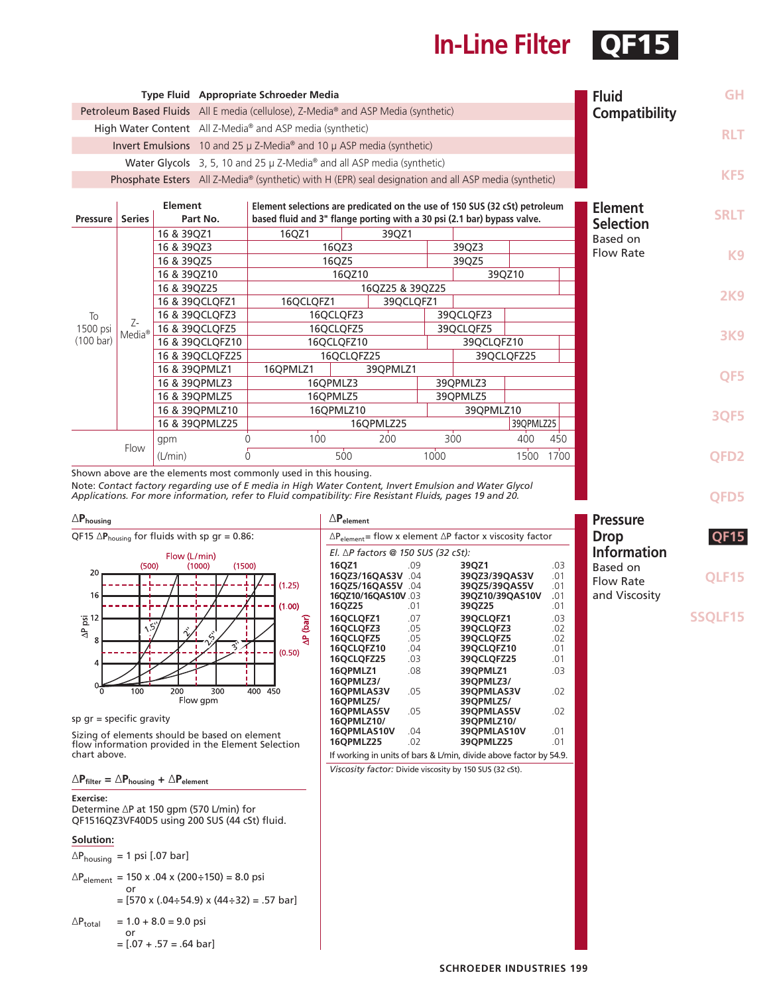### **In-Line Filter** QF1

|                                                                                    |                    |             |                 | Type Fluid Appropriate Schroeder Media                                                                |            |          |           |            |               |                            | <b>Fluid</b>     | <b>GH</b>        |
|------------------------------------------------------------------------------------|--------------------|-------------|-----------------|-------------------------------------------------------------------------------------------------------|------------|----------|-----------|------------|---------------|----------------------------|------------------|------------------|
| Petroleum Based Fluids All E media (cellulose), Z-Media® and ASP Media (synthetic) |                    |             |                 |                                                                                                       |            |          |           |            | Compatibility |                            |                  |                  |
| High Water Content All Z-Media® and ASP media (synthetic)                          |                    |             |                 |                                                                                                       |            |          |           |            |               |                            |                  |                  |
|                                                                                    |                    |             |                 | Invert Emulsions 10 and 25 $\mu$ Z-Media <sup>®</sup> and 10 $\mu$ ASP media (synthetic)              |            |          |           |            |               |                            |                  | <b>RLT</b>       |
|                                                                                    |                    |             |                 | Water Glycols 3, 5, 10 and 25 µ Z-Media <sup>®</sup> and all ASP media (synthetic)                    |            |          |           |            |               |                            |                  |                  |
|                                                                                    |                    |             |                 | Phosphate Esters All Z-Media® (synthetic) with H (EPR) seal designation and all ASP media (synthetic) |            |          |           |            |               |                            |                  | KF5              |
|                                                                                    |                    |             |                 |                                                                                                       |            |          |           |            |               |                            |                  |                  |
|                                                                                    |                    | Element     |                 | Element selections are predicated on the use of 150 SUS (32 cSt) petroleum                            |            |          |           |            |               |                            | <b>Element</b>   |                  |
| <b>Pressure</b>                                                                    | <b>Series</b>      |             | Part No.        | based fluid and 3" flange porting with a 30 psi (2.1 bar) bypass valve.                               |            |          |           |            |               |                            | <b>Selection</b> | <b>SRLT</b>      |
|                                                                                    |                    | 16 & 39QZ1  |                 | 16QZ1                                                                                                 |            | 39QZ1    |           |            |               |                            | Based on         |                  |
|                                                                                    |                    | 16 & 39QZ3  |                 | 16QZ3                                                                                                 |            |          | 39QZ3     |            |               | <b>Flow Rate</b>           | K <sub>9</sub>   |                  |
|                                                                                    |                    | 16 & 39QZ5  |                 | 16QZ5                                                                                                 |            |          |           | 39QZ5      |               |                            |                  |                  |
|                                                                                    |                    | 16 & 39QZ10 |                 | 16QZ10                                                                                                |            |          | 39QZ10    |            |               |                            |                  |                  |
|                                                                                    |                    | 16 & 39QZ25 |                 | 16QZ25 & 39QZ25                                                                                       |            |          |           |            |               |                            | <b>2K9</b>       |                  |
|                                                                                    |                    |             | 16 & 39QCLQFZ1  | 16QCLQFZ1<br>39QCLQFZ1                                                                                |            |          |           |            |               |                            |                  |                  |
| To                                                                                 | $Z-$               |             | 16 & 39QCLQFZ3  |                                                                                                       | 16QCLQFZ3  |          |           | 39QCLQFZ3  |               |                            |                  |                  |
| 1500 psi                                                                           | Media <sup>®</sup> |             | 16 & 39QCLQFZ5  |                                                                                                       | 16QCLQFZ5  |          |           | 39QCLQFZ5  |               | 400<br>450<br>1700<br>1500 |                  | <b>3K9</b>       |
| $(100 \text{ bar})$                                                                |                    |             | 16 & 39QCLQFZ10 |                                                                                                       | 16QCLQFZ10 |          |           | 39QCLQFZ10 |               |                            |                  |                  |
|                                                                                    |                    |             | 16 & 39QCLQFZ25 |                                                                                                       | 16QCLQFZ25 |          |           |            | 39QCLQFZ25    |                            |                  |                  |
|                                                                                    |                    |             | 16 & 39QPMLZ1   | 16QPMLZ1                                                                                              |            | 39QPMLZ1 |           |            |               |                            |                  | QF5              |
|                                                                                    |                    |             | 16 & 39QPMLZ3   |                                                                                                       | 16QPMLZ3   |          |           | 39QPMLZ3   |               |                            |                  |                  |
|                                                                                    |                    |             | 16 & 39QPMLZ5   | 16OPMLZ5                                                                                              |            |          | 39QPMLZ5  |            |               |                            |                  |                  |
|                                                                                    |                    |             | 16 & 39QPMLZ10  | 16OPMLZ10                                                                                             |            |          | 39QPMLZ10 |            |               |                            | <b>3QF5</b>      |                  |
|                                                                                    |                    |             | 16 & 39QPMLZ25  |                                                                                                       | 16QPMLZ25  |          |           | 39QPMLZ25  |               |                            |                  |                  |
|                                                                                    |                    | gpm         |                 | 100                                                                                                   |            | 200      | 300       |            |               |                            |                  |                  |
|                                                                                    | Flow               | (L/min)     |                 | 0                                                                                                     | 500        |          | 1000      |            |               |                            |                  | QFD <sub>2</sub> |

Shown above are the elements most commonly used in this housing. Note: *Contact factory regarding use of E media in High Water Content, Invert Emulsion and Water Glycol Applications. For more information, refer to Fluid compatibility: Fire Resistant Fluids, pages 19 and 20.*



sp gr = specific gravity

Sizing of elements should be based on element flow information provided in the Element Selection chart above.

∆**Pfilter =** ∆**Phousing +** ∆**Pelement**

#### **Exercise:**

Determine ∆P at 150 gpm (570 L/min) for QF1516QZ3VF40D5 using 200 SUS (44 cSt) fluid.

**Solution:**

∆Phousing = 1 psi [.07 bar]

$$
\Delta P_{element} = 150 \times .04 \times (200 \div 150) = 8.0 \text{ psi}
$$
  
or

$$
= [570 \times (.04 \div 54.9) \times (44 \div 32) = .57 \text{ bar}]
$$

$$
\triangle P_{\text{total}} = 1.0 + 8.0 = 9.0 \text{ psi}
$$
  
or  

$$
= [.07 + .57 = .64 \text{ bar}]
$$

| $\Delta$ $\mathsf{P}_{\mathsf{element}}$                                   |            |                           |            |  |  |  |
|----------------------------------------------------------------------------|------------|---------------------------|------------|--|--|--|
| $\Delta P_{element}$ = flow x element $\Delta P$ factor x viscosity factor |            |                           |            |  |  |  |
| El. ∆P factors @ 150 SUS (32 cSt):                                         |            |                           |            |  |  |  |
| 16OZ1<br>16QZ3/16QAS3V .04                                                 | .09        | 39QZ1<br>39QZ3/39QAS3V    | .03<br>.01 |  |  |  |
| 16OZ5/16OAS5V .04                                                          |            | 39OZ5/39OAS5V             | .01        |  |  |  |
| 16QZ10/16QAS10V.03<br>16QZ25                                               | .01        | 39QZ10/39QAS10V<br>39QZ25 | .01<br>.01 |  |  |  |
| 16OCLOFZ1<br>16OCLOFZ3                                                     | .07<br>.05 | 39OCLOFZ1<br>39OCLOFZ3    | .03<br>.02 |  |  |  |
| 16OCLOFZ5                                                                  | .05        | 39OCLOFZ5                 | .02        |  |  |  |
| 16QCLQFZ10<br>16QCLQFZ25                                                   | .04<br>.03 | 39QCLQFZ10<br>39QCLQFZ25  | .01<br>.01 |  |  |  |
| 16OPMLZ1<br>16OPMLZ3/                                                      | .08        | 39OPMLZ1<br>390PMLZ3/     | .03        |  |  |  |
| 16OPMLAS3V                                                                 | .05        | 39OPMLAS3V                | .02        |  |  |  |
| 16OPMLZ5/<br>16QPMLAS5V                                                    | .05        | 390PMLZ5/<br>39QPMLAS5V   | .02        |  |  |  |
| 16QPMLZ10/<br>16QPMLAS10V                                                  | .04        | 39QPMLZ10/<br>39QPMLAS10V | .01        |  |  |  |
| 16QPMLZ25                                                                  | .02        | 390PMLZ25                 | .01        |  |  |  |
| If working in units of bars & L/min, divide above factor by 54.9.          |            |                           |            |  |  |  |

*Viscosity factor:* Divide viscosity by 150 SUS (32 cSt).

**QFD5 QF15 QLF15 Pressure Drop Information** Based on Flow Rate

and Viscosity

**SSQLF15**